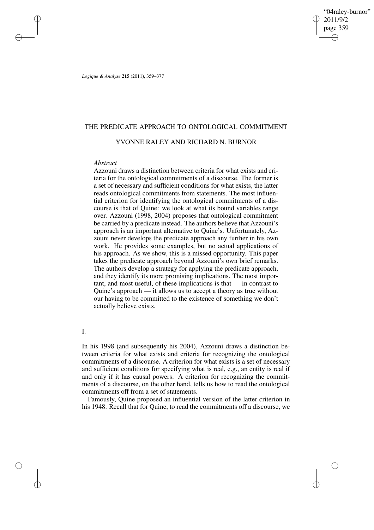"04raley-burnor" 2011/9/2 page 359 ✐ ✐

✐

✐

*Logique & Analyse* **215** (2011), 359–377

# THE PREDICATE APPROACH TO ONTOLOGICAL COMMITMENT

# YVONNE RALEY AND RICHARD N. BURNOR

## *Abstract*

✐

✐

✐

✐

Azzouni draws a distinction between criteria for what exists and criteria for the ontological commitments of a discourse. The former is a set of necessary and sufficient conditions for what exists, the latter reads ontological commitments from statements. The most influential criterion for identifying the ontological commitments of a discourse is that of Quine: we look at what its bound variables range over. Azzouni (1998, 2004) proposes that ontological commitment be carried by a predicate instead. The authors believe that Azzouni's approach is an important alternative to Quine's. Unfortunately, Azzouni never develops the predicate approach any further in his own work. He provides some examples, but no actual applications of his approach. As we show, this is a missed opportunity. This paper takes the predicate approach beyond Azzouni's own brief remarks. The authors develop a strategy for applying the predicate approach, and they identify its more promising implications. The most important, and most useful, of these implications is that — in contrast to Quine's approach — it allows us to accept a theory as true without our having to be committed to the existence of something we don't actually believe exists.

# I.

In his 1998 (and subsequently his 2004), Azzouni draws a distinction between criteria for what exists and criteria for recognizing the ontological commitments of a discourse. A criterion for what exists is a set of necessary and sufficient conditions for specifying what is real, e.g., an entity is real if and only if it has causal powers. A criterion for recognizing the commitments of a discourse, on the other hand, tells us how to read the ontological commitments off from a set of statements.

Famously, Quine proposed an influential version of the latter criterion in his 1948. Recall that for Quine, to read the commitments off a discourse, we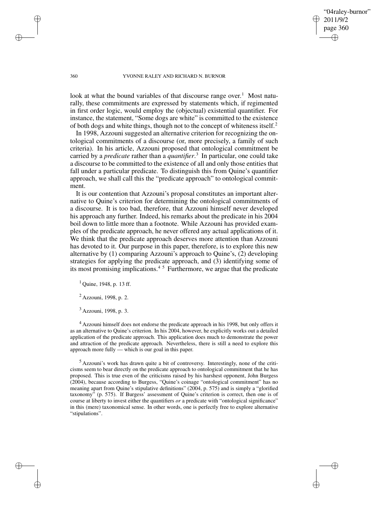"04raley-burnor" 2011/9/2 page 360 ✐ ✐

✐

✐

### 360 YVONNE RALEY AND RICHARD N. BURNOR

look at what the bound variables of that discourse range over.<sup>1</sup> Most naturally, these commitments are expressed by statements which, if regimented in first order logic, would employ the (objectual) existential quantifier. For instance, the statement, "Some dogs are white" is committed to the existence of both dogs and white things, though not to the concept of whiteness itself.<sup>2</sup>

In 1998, Azzouni suggested an alternative criterion for recognizing the ontological commitments of a discourse (or, more precisely, a family of such criteria). In his article, Azzouni proposed that ontological commitment be carried by a *predicate* rather than a *quantifier*. 3 In particular, one could take a discourse to be committed to the existence of all and only those entities that fall under a particular predicate. To distinguish this from Quine's quantifier approach, we shall call this the "predicate approach" to ontological commitment.

It is our contention that Azzouni's proposal constitutes an important alternative to Quine's criterion for determining the ontological commitments of a discourse. It is too bad, therefore, that Azzouni himself never developed his approach any further. Indeed, his remarks about the predicate in his 2004 boil down to little more than a footnote. While Azzouni has provided examples of the predicate approach, he never offered any actual applications of it. We think that the predicate approach deserves more attention than Azzouni has devoted to it. Our purpose in this paper, therefore, is to explore this new alternative by (1) comparing Azzouni's approach to Quine's, (2) developing strategies for applying the predicate approach, and (3) identifying some of its most promising implications.<sup>45</sup> Furthermore, we argue that the predicate

 $1$  Quine, 1948, p. 13 ff.

 $^{2}$  Azzouni, 1998, p. 2.

<sup>3</sup> Azzouni, 1998, p. 3.

<sup>4</sup> Azzouni himself does not endorse the predicate approach in his 1998, but only offers it as an alternative to Quine's criterion. In his 2004, however, he explicitly works out a detailed application of the predicate approach. This application does much to demonstrate the power and attraction of the predicate approach. Nevertheless, there is still a need to explore this approach more fully — which is our goal in this paper.

<sup>5</sup> Azzouni's work has drawn quite a bit of controversy. Interestingly, none of the criticisms seem to bear directly on the predicate approach to ontological commitment that he has proposed. This is true even of the criticisms raised by his harshest opponent, John Burgess (2004), because according to Burgess, "Quine's coinage "ontological commitment" has no meaning apart from Quine's stipulative definitions" (2004, p. 575) and is simply a "glorified taxonomy" (p. 575). If Burgess' assessment of Quine's criterion is correct, then one is of course at liberty to invest either the quantifiers *or* a predicate with "ontological significance" in this (mere) taxonomical sense. In other words, one is perfectly free to explore alternative "stipulations".

✐

✐

✐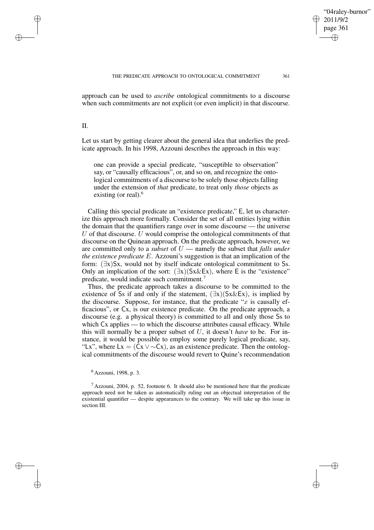✐

approach can be used to *ascribe* ontological commitments to a discourse when such commitments are not explicit (or even implicit) in that discourse.

II.

✐

✐

✐

✐

Let us start by getting clearer about the general idea that underlies the predicate approach. In his 1998, Azzouni describes the approach in this way:

one can provide a special predicate, "susceptible to observation" say, or "causally efficacious", or, and so on, and recognize the ontological commitments of a discourse to be solely those objects falling under the extension of *that* predicate, to treat only *those* objects as existing (or real).<sup>6</sup>

Calling this special predicate an "existence predicate," E, let us characterize this approach more formally. Consider the set of all entities lying within the domain that the quantifiers range over in some discourse — the universe  $U$  of that discourse.  $U$  would comprise the ontological commitments of that discourse on the Quinean approach. On the predicate approach, however, we are committed only to a *subset* of U — namely the subset that *falls under the existence predicate* E. Azzouni's suggestion is that an implication of the form: (∃x)Sx, would not by itself indicate ontological commitment to Ss. Only an implication of the sort:  $(\exists x)(Sx\&Ex)$ , where E is the "existence" predicate, would indicate such commitment.<sup>7</sup>

Thus, the predicate approach takes a discourse to be committed to the existence of Ss if and only if the statement,  $(\exists x)(Sx\&Ex)$ , is implied by the discourse. Suppose, for instance, that the predicate "x is causally efficacious", or Cx, is our existence predicate. On the predicate approach, a discourse (e.g. a physical theory) is committed to all and only those Ss to which Cx applies — to which the discourse attributes causal efficacy. While this will normally be a proper subset of U, it doesn't *have* to be. For instance, it would be possible to employ some purely logical predicate, say, "Lx", where Lx = (Cx  $\vee \sim Cx$ ), as an existence predicate. Then the ontological commitments of the discourse would revert to Quine's recommendation

<sup>6</sup> Azzouni, 1998, p. 3.

 $<sup>7</sup>$  Azzouni, 2004, p. 52, footnote 6. It should also be mentioned here that the predicate</sup> approach need not be taken as automatically ruling out an objectual interpretation of the existential quantifier — despite appearances to the contrary. We will take up this issue in section III.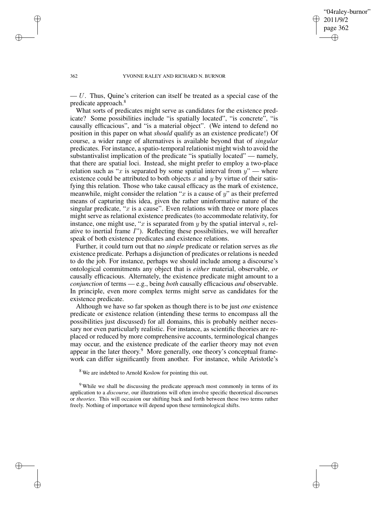✐

#### 362 YVONNE RALEY AND RICHARD N. BURNOR

✐

✐

✐

✐

 $-U$ . Thus, Quine's criterion can itself be treated as a special case of the predicate approach.<sup>8</sup>

What sorts of predicates might serve as candidates for the existence predicate? Some possibilities include "is spatially located", "is concrete", "is causally efficacious", and "is a material object". (We intend to defend no position in this paper on what *should* qualify as an existence predicate!) Of course, a wider range of alternatives is available beyond that of *singular* predicates. For instance, a spatio-temporal relationist might wish to avoid the substantivalist implication of the predicate "is spatially located" — namely, that there are spatial loci. Instead, she might prefer to employ a two-place relation such as "x is separated by some spatial interval from  $y'' -$  where existence could be attributed to both objects  $x$  and  $y$  by virtue of their satisfying this relation. Those who take causal efficacy as the mark of existence, meanwhile, might consider the relation " $x$  is a cause of  $y$ " as their preferred means of capturing this idea, given the rather uninformative nature of the singular predicate, " $x$  is a cause". Even relations with three or more places might serve as relational existence predicates (to accommodate relativity, for instance, one might use, " $x$  is separated from  $y$  by the spatial interval  $s$ , relative to inertial frame I"). Reflecting these possibilities, we will hereafter speak of both existence predicates and existence relations.

Further, it could turn out that no *simple* predicate or relation serves as *the* existence predicate. Perhaps a disjunction of predicates or relations is needed to do the job. For instance, perhaps we should include among a discourse's ontological commitments any object that is *either* material, observable, *or* causally efficacious. Alternately, the existence predicate might amount to a *conjunction* of terms — e.g., being *both* causally efficacious *and* observable. In principle, even more complex terms might serve as candidates for the existence predicate.

Although we have so far spoken as though there is to be just *one* existence predicate or existence relation (intending these terms to encompass all the possibilities just discussed) for all domains, this is probably neither necessary nor even particularly realistic. For instance, as scientific theories are replaced or reduced by more comprehensive accounts, terminological changes may occur, and the existence predicate of the earlier theory may not even appear in the later theory.<sup>9</sup> More generally, one theory's conceptual framework can differ significantly from another. For instance, while Aristotle's

<sup>8</sup> We are indebted to Arnold Koslow for pointing this out.

<sup>&</sup>lt;sup>9</sup> While we shall be discussing the predicate approach most commonly in terms of its application to a *discourse*, our illustrations will often involve specific theoretical discourses or *theories*. This will occasion our shifting back and forth between these two terms rather freely. Nothing of importance will depend upon these terminological shifts.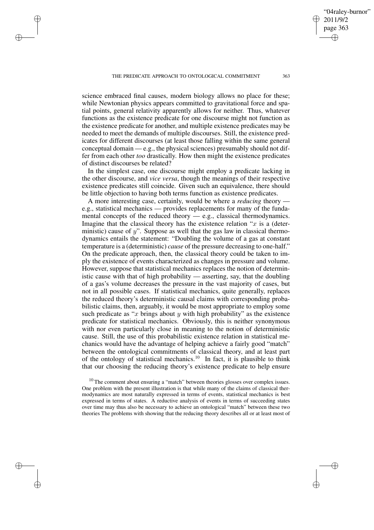✐

✐

✐

2011/9/2 page 363 ✐ ✐

✐

✐

04raley-burnor"

science embraced final causes, modern biology allows no place for these; while Newtonian physics appears committed to gravitational force and spatial points, general relativity apparently allows for neither. Thus, whatever functions as the existence predicate for one discourse might not function as the existence predicate for another, and multiple existence predicates may be needed to meet the demands of multiple discourses. Still, the existence predicates for different discourses (at least those falling within the same general conceptual domain — e.g., the physical sciences) presumably should not differ from each other *too* drastically. How then might the existence predicates of distinct discourses be related?

In the simplest case, one discourse might employ a predicate lacking in the other discourse, and *vice versa*, though the meanings of their respective existence predicates still coincide. Given such an equivalence, there should be little objection to having both terms function as existence predicates.

A more interesting case, certainly, would be where a *reducing* theory e.g., statistical mechanics — provides replacements for many of the fundamental concepts of the reduced theory — e.g., classical thermodynamics. Imagine that the classical theory has the existence relation " $x$  is a (deterministic) cause of  $y$ ". Suppose as well that the gas law in classical thermodynamics entails the statement: "Doubling the volume of a gas at constant temperature is a (deterministic) *cause* of the pressure decreasing to one-half." On the predicate approach, then, the classical theory could be taken to imply the existence of events characterized as changes in pressure and volume. However, suppose that statistical mechanics replaces the notion of deterministic cause with that of high probability — asserting, say, that the doubling of a gas's volume decreases the pressure in the vast majority of cases, but not in all possible cases. If statistical mechanics, quite generally, replaces the reduced theory's deterministic causal claims with corresponding probabilistic claims, then, arguably, it would be most appropriate to employ some such predicate as "x brings about y with high probability" as the existence predicate for statistical mechanics. Obviously, this is neither synonymous with nor even particularly close in meaning to the notion of deterministic cause. Still, the use of this probabilistic existence relation in statistical mechanics would have the advantage of helping achieve a fairly good "match" between the ontological commitments of classical theory, and at least part of the ontology of statistical mechanics.<sup>10</sup> In fact, it is plausible to think that our choosing the reducing theory's existence predicate to help ensure

 $10$  The comment about ensuring a "match" between theories glosses over complex issues. One problem with the present illustration is that while many of the claims of classical thermodynamics are most naturally expressed in terms of events, statistical mechanics is best expressed in terms of states. A reductive analysis of events in terms of succeeding states over time may thus also be necessary to achieve an ontological "match" between these two theories The problems with showing that the reducing theory describes all or at least most of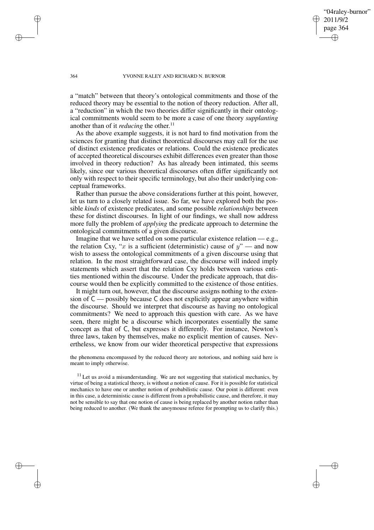"04raley-burnor" 2011/9/2 page 364 ✐ ✐

✐

✐

### 364 YVONNE RALEY AND RICHARD N. BURNOR

a "match" between that theory's ontological commitments and those of the reduced theory may be essential to the notion of theory reduction. After all, a "reduction" in which the two theories differ significantly in their ontological commitments would seem to be more a case of one theory *supplanting* another than of it *reducing* the other. 11

As the above example suggests, it is not hard to find motivation from the sciences for granting that distinct theoretical discourses may call for the use of distinct existence predicates or relations. Could the existence predicates of accepted theoretical discourses exhibit differences even greater than those involved in theory reduction? As has already been intimated, this seems likely, since our various theoretical discourses often differ significantly not only with respect to their specific terminology, but also their underlying conceptual frameworks.

Rather than pursue the above considerations further at this point, however, let us turn to a closely related issue. So far, we have explored both the possible *kinds* of existence predicates, and some possible *relationships* between these for distinct discourses. In light of our findings, we shall now address more fully the problem of *applying* the predicate approach to determine the ontological commitments of a given discourse.

Imagine that we have settled on some particular existence relation — e.g., the relation Cxy, "x is a sufficient (deterministic) cause of  $y$ " — and now wish to assess the ontological commitments of a given discourse using that relation. In the most straightforward case, the discourse will indeed imply statements which assert that the relation Cxy holds between various entities mentioned within the discourse. Under the predicate approach, that discourse would then be explicitly committed to the existence of those entities.

It might turn out, however, that the discourse assigns nothing to the extension of C — possibly because C does not explicitly appear anywhere within the discourse. Should we interpret that discourse as having no ontological commitments? We need to approach this question with care. As we have seen, there might be a discourse which incorporates essentially the same concept as that of C, but expresses it differently. For instance, Newton's three laws, taken by themselves, make no explicit mention of causes. Nevertheless, we know from our wider theoretical perspective that expressions

the phenomena encompassed by the reduced theory are notorious, and nothing said here is meant to imply otherwise.

 $11$  Let us avoid a misunderstanding. We are not suggesting that statistical mechanics, by virtue of being a statistical theory, is without *a* notion of cause. For it is possible for statistical mechanics to have one or another notion of probabilistic cause. Our point is different: even in this case, a deterministic cause is different from a probabilistic cause, and therefore, it may not be sensible to say that one notion of cause is being replaced by another notion rather than being reduced to another. (We thank the anoymouse referee for prompting us to clarify this.)

✐

✐

✐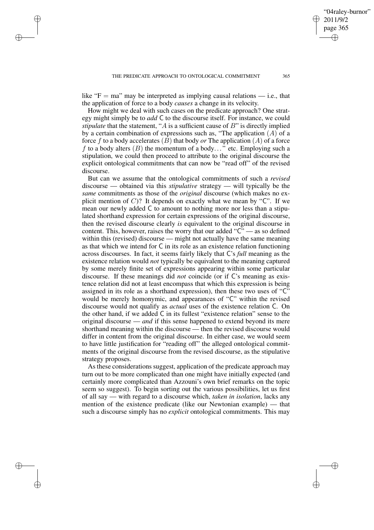✐

✐

✐

like " $F = ma$ " may be interpreted as implying causal relations — i.e., that the application of force to a body *causes* a change in its velocity.

How might we deal with such cases on the predicate approach? One strategy might simply be to *add* C to the discourse itself. For instance, we could *stipulate* that the statement, "A is a sufficient cause of B" is directly implied by a certain combination of expressions such as, "The application  $(A)$  of a force f to a body accelerates  $(B)$  that body or The application  $(A)$  of a force f to a body alters  $(B)$  the momentum of a body..." etc. Employing such a stipulation, we could then proceed to attribute to the original discourse the explicit ontological commitments that can now be "read off" of the revised discourse.

But can we assume that the ontological commitments of such a *revised* discourse — obtained via this *stipulative* strategy — will typically be the *same* commitments as those of the *original* discourse (which makes no explicit mention of  $C$ ? It depends on exactly what we mean by " $C$ ". If we mean our newly added C to amount to nothing more nor less than a stipulated shorthand expression for certain expressions of the original discourse, then the revised discourse clearly *is* equivalent to the original discourse in content. This, however, raises the worry that our added " $\tilde{C}$ " — as so defined within this (revised) discourse — might not actually have the same meaning as that which we intend for C in its role as an existence relation functioning across discourses. In fact, it seems fairly likely that C's *full* meaning as the existence relation would *not* typically be equivalent to the meaning captured by some merely finite set of expressions appearing within some particular discourse. If these meanings did *not* coincide (or if C's meaning as existence relation did not at least encompass that which this expression is being assigned in its role as a shorthand expression), then these two uses of "C" would be merely homonymic, and appearances of "C" within the revised discourse would not qualify as *actual* uses of the existence relation C. On the other hand, if we added C in its fullest "existence relation" sense to the original discourse — *and* if this sense happened to extend beyond its mere shorthand meaning within the discourse — then the revised discourse would differ in content from the original discourse. In either case, we would seem to have little justification for "reading off" the alleged ontological commitments of the original discourse from the revised discourse, as the stipulative strategy proposes.

As these considerations suggest, application of the predicate approach may turn out to be more complicated than one might have initially expected (and certainly more complicated than Azzouni's own brief remarks on the topic seem so suggest). To begin sorting out the various possibilities, let us first of all say — with regard to a discourse which, *taken in isolation*, lacks any mention of the existence predicate (like our Newtonian example) — that such a discourse simply has no *explicit* ontological commitments. This may

"04raley-burnor"

2011/9/2 page 365

✐

✐

✐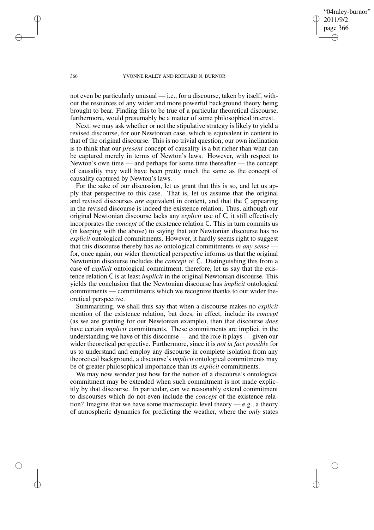"04raley-burnor" 2011/9/2 page 366 ✐ ✐

✐

✐

#### 366 YVONNE RALEY AND RICHARD N. BURNOR

not even be particularly unusual  $-$  i.e., for a discourse, taken by itself, without the resources of any wider and more powerful background theory being brought to bear. Finding this to be true of a particular theoretical discourse, furthermore, would presumably be a matter of some philosophical interest.

Next, we may ask whether or not the stipulative strategy is likely to yield a revised discourse, for our Newtonian case, which is equivalent in content to that of the original discourse. This is no trivial question; our own inclination is to think that our *present* concept of causality is a bit richer than what can be captured merely in terms of Newton's laws. However, with respect to Newton's own time — and perhaps for some time thereafter — the concept of causality may well have been pretty much the same as the concept of causality captured by Newton's laws.

For the sake of our discussion, let us grant that this is so, and let us apply that perspective to this case. That is, let us assume that the original and revised discourses *are* equivalent in content, and that the C appearing in the revised discourse is indeed the existence relation. Thus, although our original Newtonian discourse lacks any *explicit* use of C, it still effectively incorporates the *concept* of the existence relation C. This in turn commits us (in keeping with the above) to saying that our Newtonian discourse has no *explicit* ontological commitments. However, it hardly seems right to suggest that this discourse thereby has *no* ontological commitments *in any sense* for, once again, our wider theoretical perspective informs us that the original Newtonian discourse includes the *concept* of C. Distinguishing this from a case of *explicit* ontological commitment, therefore, let us say that the existence relation C is at least *implicit* in the original Newtonian discourse. This yields the conclusion that the Newtonian discourse has *implicit* ontological commitments — commitments which we recognize thanks to our wider theoretical perspective.

Summarizing, we shall thus say that when a discourse makes no *explicit* mention of the existence relation, but does, in effect, include its *concept* (as we are granting for our Newtonian example), then that discourse *does* have certain *implicit* commitments. These commitments are implicit in the understanding we have of this discourse — and the role it plays — given our wider theoretical perspective. Furthermore, since it is *not in fact possible* for us to understand and employ any discourse in complete isolation from any theoretical background, a discourse's *implicit* ontological commitments may be of greater philosophical importance than its *explicit* commitments.

We may now wonder just how far the notion of a discourse's ontological commitment may be extended when such commitment is not made explicitly by that discourse. In particular, can we reasonably extend commitment to discourses which do not even include the *concept* of the existence relation? Imagine that we have some macroscopic level theory — e.g., a theory of atmospheric dynamics for predicting the weather, where the *only* states

✐

✐

✐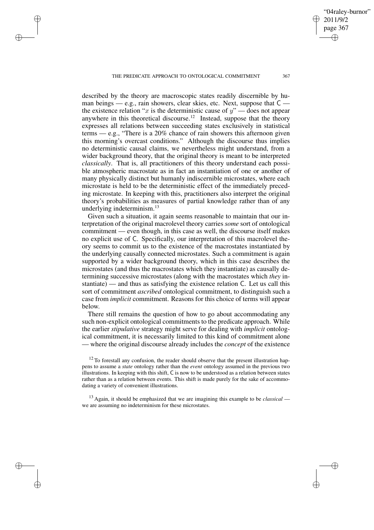✐

✐

✐

✐

2011/9/2 page 367 ✐ ✐

✐

✐

"04raley-burnor"

described by the theory are macroscopic states readily discernible by human beings — e.g., rain showers, clear skies, etc. Next, suppose that C the existence relation "x is the deterministic cause of  $y$ " — does not appear anywhere in this theoretical discourse.<sup>12</sup> Instead, suppose that the theory expresses all relations between succeeding states exclusively in statistical terms — e.g., "There is a 20% chance of rain showers this afternoon given this morning's overcast conditions." Although the discourse thus implies no deterministic causal claims, we nevertheless might understand, from a wider background theory, that the original theory is meant to be interpreted *classically*. That is, all practitioners of this theory understand each possible atmospheric macrostate as in fact an instantiation of one or another of many physically distinct but humanly indiscernible microstates, where each microstate is held to be the deterministic effect of the immediately preceding microstate. In keeping with this, practitioners also interpret the original theory's probabilities as measures of partial knowledge rather than of any underlying indeterminism.<sup>13</sup>

Given such a situation, it again seems reasonable to maintain that our interpretation of the original macrolevel theory carries *some* sort of ontological commitment — even though, in this case as well, the discourse itself makes no explicit use of C. Specifically, our interpretation of this macrolevel theory seems to commit us to the existence of the macrostates instantiated by the underlying causally connected microstates. Such a commitment is again supported by a wider background theory, which in this case describes the microstates (and thus the macrostates which they instantiate) as causally determining successive microstates (along with the macrostates which *they* instantiate) — and thus as satisfying the existence relation C. Let us call this sort of commitment *ascribed* ontological commitment, to distinguish such a case from *implicit* commitment. Reasons for this choice of terms will appear below.

There still remains the question of how to go about accommodating any such non-explicit ontological commitments to the predicate approach. While the earlier *stipulative* strategy might serve for dealing with *implicit* ontological commitment, it is necessarily limited to this kind of commitment alone — where the original discourse already includes the *concept* of the existence

 $12$  To forestall any confusion, the reader should observe that the present illustration happens to assume a *state* ontology rather than the *event* ontology assumed in the previous two illustrations. In keeping with this shift, C is now to be understood as a relation between states rather than as a relation between events. This shift is made purely for the sake of accommodating a variety of convenient illustrations.

<sup>13</sup> Again, it should be emphasized that we are imagining this example to be *classical* we are assuming no indeterminism for these microstates.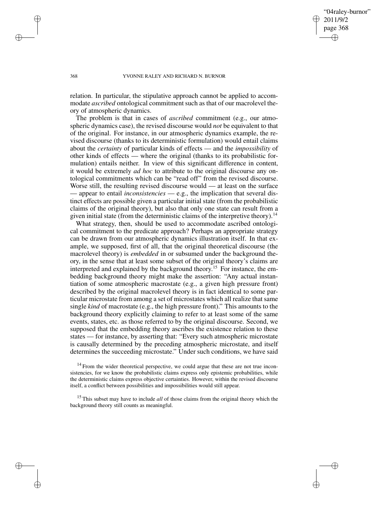"04raley-burnor" 2011/9/2 page 368 ✐ ✐

✐

✐

### 368 YVONNE RALEY AND RICHARD N. BURNOR

relation. In particular, the stipulative approach cannot be applied to accommodate *ascribed* ontological commitment such as that of our macrolevel theory of atmospheric dynamics.

The problem is that in cases of *ascribed* commitment (e.g., our atmospheric dynamics case), the revised discourse would *not* be equivalent to that of the original. For instance, in our atmospheric dynamics example, the revised discourse (thanks to its deterministic formulation) would entail claims about the *certainty* of particular kinds of effects — and the *impossibility* of other kinds of effects — where the original (thanks to its probabilistic formulation) entails neither. In view of this significant difference in content, it would be extremely *ad hoc* to attribute to the original discourse any ontological commitments which can be "read off" from the revised discourse. Worse still, the resulting revised discourse would — at least on the surface — appear to entail *inconsistencies* — e.g., the implication that several distinct effects are possible given a particular initial state (from the probabilistic claims of the original theory), but also that only one state can result from a given initial state (from the deterministic claims of the interpretive theory).<sup>14</sup>

What strategy, then, should be used to accommodate ascribed ontological commitment to the predicate approach? Perhaps an appropriate strategy can be drawn from our atmospheric dynamics illustration itself. In that example, we supposed, first of all, that the original theoretical discourse (the macrolevel theory) is *embedded* in or subsumed under the background theory, in the sense that at least some subset of the original theory's claims are interpreted and explained by the background theory.<sup>15</sup> For instance, the embedding background theory might make the assertion: "Any actual instantiation of some atmospheric macrostate (e.g., a given high pressure front) described by the original macrolevel theory is in fact identical to some particular microstate from among a set of microstates which all realize that same single *kind* of macrostate (e.g., the high pressure front)." This amounts to the background theory explicitly claiming to refer to at least some of the same events, states, etc. as those referred to by the original discourse. Second, we supposed that the embedding theory ascribes the existence relation to these states — for instance, by asserting that: "Every such atmospheric microstate is causally determined by the preceding atmospheric microstate, and itself determines the succeeding microstate." Under such conditions, we have said

 $14$  From the wider theoretical perspective, we could argue that these are not true inconsistencies, for we know the probabilistic claims express only epistemic probabilities, while the deterministic claims express objective certainties. However, within the revised discourse itself, a conflict between possibilities and impossibilities would still appear.

<sup>15</sup> This subset may have to include *all* of those claims from the original theory which the background theory still counts as meaningful.

✐

✐

✐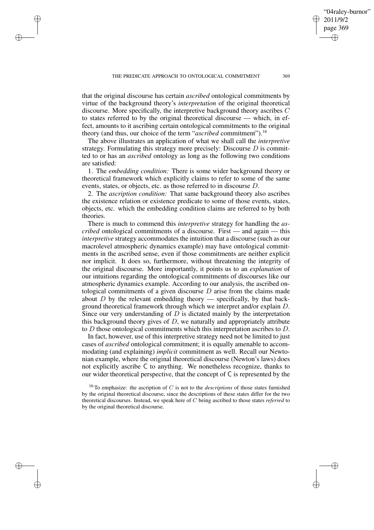✐

✐

✐

that the original discourse has certain *ascribed* ontological commitments by virtue of the background theory's *interpretation* of the original theoretical discourse. More specifically, the interpretive background theory ascribes C to states referred to by the original theoretical discourse — which, in effect, amounts to it ascribing certain ontological commitments to the original theory (and thus, our choice of the term "*ascribed* commitment").<sup>16</sup>

The above illustrates an application of what we shall call the *interpretive* strategy. Formulating this strategy more precisely: Discourse  $D$  is committed to or has an *ascribed* ontology as long as the following two conditions are satisfied:

1. The *embedding condition:* There is some wider background theory or theoretical framework which explicitly claims to refer to some of the same events, states, or objects, etc. as those referred to in discourse D.

2. The *ascription condition:* That same background theory also ascribes the existence relation or existence predicate to some of those events, states, objects, etc. which the embedding condition claims are referred to by both theories.

There is much to commend this *interpretive* strategy for handling the *ascribed* ontological commitments of a discourse. First — and again — this *interpretive* strategy accommodates the intuition that a discourse (such as our macrolevel atmospheric dynamics example) may have ontological commitments in the ascribed sense, even if those commitments are neither explicit nor implicit. It does so, furthermore, without threatening the integrity of the original discourse. More importantly, it points us to an *explanation* of our intuitions regarding the ontological commitments of discourses like our atmospheric dynamics example. According to our analysis, the ascribed ontological commitments of a given discourse  $D$  arise from the claims made about  $D$  by the relevant embedding theory — specifically, by that background theoretical framework through which we interpret and/or explain D. Since our very understanding of  $D$  is dictated mainly by the interpretation this background theory gives of  $D$ , we naturally and appropriately attribute to D those ontological commitments which this interpretation ascribes to D.

In fact, however, use of this interpretive strategy need not be limited to just cases of *ascribed* ontological commitment; it is equally amenable to accommodating (and explaining) *implicit* commitment as well. Recall our Newtonian example, where the original theoretical discourse (Newton's laws) does not explicitly ascribe C to anything. We nonetheless recognize, thanks to our wider theoretical perspective, that the concept of C is represented by the

"04raley-burnor"

2011/9/2 page 369

✐

✐

✐

<sup>16</sup> To emphasize: the ascription of C is not to the *descriptions* of those states furnished by the original theoretical discourse, since the descriptions of these states differ for the two theoretical discourses. Instead, we speak here of C being ascribed to those states *referred* to by the original theoretical discourse.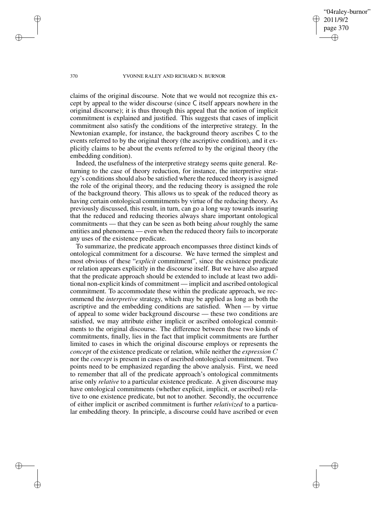"04raley-burnor" 2011/9/2 page 370 ✐ ✐

✐

✐

#### 370 YVONNE RALEY AND RICHARD N. BURNOR

claims of the original discourse. Note that we would not recognize this except by appeal to the wider discourse (since C itself appears nowhere in the original discourse); it is thus through this appeal that the notion of implicit commitment is explained and justified. This suggests that cases of implicit commitment also satisfy the conditions of the interpretive strategy. In the Newtonian example, for instance, the background theory ascribes C to the events referred to by the original theory (the ascriptive condition), and it explicitly claims to be about the events referred to by the original theory (the embedding condition).

Indeed, the usefulness of the interpretive strategy seems quite general. Returning to the case of theory reduction, for instance, the interpretive strategy's conditions should also be satisfied where the reduced theory is assigned the role of the original theory, and the reducing theory is assigned the role of the background theory. This allows us to speak of the reduced theory as having certain ontological commitments by virtue of the reducing theory. As previously discussed, this result, in turn, can go a long way towards insuring that the reduced and reducing theories always share important ontological commitments — that they can be seen as both being *about* roughly the same entities and phenomena — even when the reduced theory fails to incorporate any uses of the existence predicate.

To summarize, the predicate approach encompasses three distinct kinds of ontological commitment for a discourse. We have termed the simplest and most obvious of these "*explicit* commitment", since the existence predicate or relation appears explicitly in the discourse itself. But we have also argued that the predicate approach should be extended to include at least two additional non-explicit kinds of commitment — implicit and ascribed ontological commitment. To accommodate these within the predicate approach, we recommend the *interpretive* strategy, which may be applied as long as both the ascriptive and the embedding conditions are satisfied. When — by virtue of appeal to some wider background discourse — these two conditions are satisfied, we may attribute either implicit or ascribed ontological commitments to the original discourse. The difference between these two kinds of commitments, finally, lies in the fact that implicit commitments are further limited to cases in which the original discourse employs or represents the *concept* of the existence predicate or relation, while neither the *expression* C nor the *concept* is present in cases of ascribed ontological commitment. Two points need to be emphasized regarding the above analysis. First, we need to remember that all of the predicate approach's ontological commitments arise only *relative* to a particular existence predicate. A given discourse may have ontological commitments (whether explicit, implicit, or ascribed) relative to one existence predicate, but not to another. Secondly, the occurrence of either implicit or ascribed commitment is further *relativized* to a particular embedding theory. In principle, a discourse could have ascribed or even

✐

✐

✐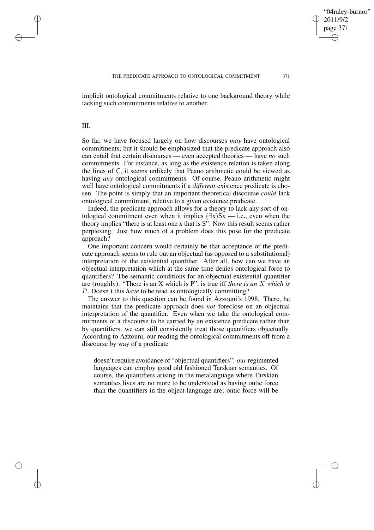✐

implicit ontological commitments relative to one background theory while lacking such commitments relative to another.

III.

✐

✐

✐

✐

So far, we have focused largely on how discourses *may* have ontological commitments; but it should be emphasized that the predicate approach also can entail that certain discourses — even accepted theories — have *no* such commitments. For instance, as long as the existence relation is taken along the lines of C, it seems unlikely that Peano arithmetic could be viewed as having *any* ontological commitments. Of course, Peano arithmetic might well have ontological commitments if a *different* existence predicate is chosen. The point is simply that an important theoretical discourse *could* lack ontological commitment, relative to a given existence predicate.

Indeed, the predicate approach allows for a theory to lack any sort of ontological commitment even when it implies  $(\exists x)Sx$  — i.e., even when the theory implies "there is at least one x that is S". Now this result seems rather perplexing. Just how much of a problem does this pose for the predicate approach?

One important concern would certainly be that acceptance of the predicate approach seems to rule out an objectual (as opposed to a substitutional) interpretation of the existential quantifier. After all, how can we have an objectual interpretation which at the same time denies ontological force to quantifiers? The semantic conditions for an objectual existential quantifier are (roughly): "There is an X which is P", is true iff *there is an* X *which is* P. Doesn't this *have* to be read as ontologically committing?

The answer to this question can be found in Azzouni's 1998. There, he maintains that the predicate approach does *not* foreclose on an objectual interpretation of the quantifier. Even when we take the ontological commitments of a discourse to be carried by an existence predicate rather than by quantifiers, we can still consistently treat those quantifiers objectually. According to Azzouni, our reading the ontological commitments off from a discourse by way of a predicate

doesn't require avoidance of "objectual quantifiers": *our* regimented languages can employ good old fashioned Tarskian semantics. Of course, the quantifiers arising in the metalanguage where Tarskian semantics lives are no more to be understood as having ontic force than the quantifiers in the object language are; ontic force will be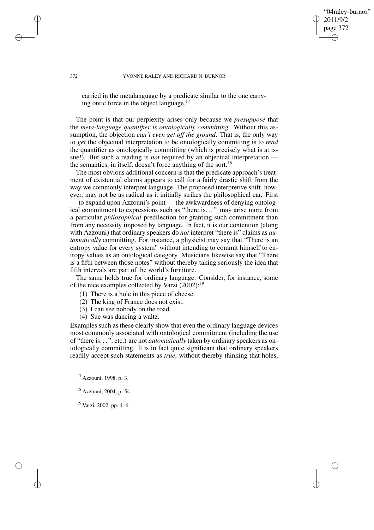"04raley-burnor" 2011/9/2 page 372 ✐ ✐

✐

✐

#### 372 YVONNE RALEY AND RICHARD N. BURNOR

carried in the metalanguage by a predicate similar to the one carrying ontic force in the object language.<sup>17</sup>

The point is that our perplexity arises only because we *presuppose* that the *meta-language quantifier is ontologically committing*. Without this assumption, the objection *can't even get off the ground*. That is, the only way to *get* the objectual interpretation to be ontologically committing is to *read* the quantifier as ontologically committing (which is precisely what is at issue!). But such a reading is *not* required by an objectual interpretation the semantics, in itself, doesn't force anything of the sort.<sup>18</sup>

The most obvious additional concern is that the predicate approach's treatment of existential claims appears to call for a fairly drastic shift from the way we commonly interpret language. The proposed interpretive shift, however, may not be as radical as it initially strikes the philosophical ear. First — to expand upon Azzouni's point — the awkwardness of denying ontological commitment to expressions such as "there is. . . " may arise more from a particular *philosophical* predilection for granting such commitment than from any necessity imposed by language. In fact, it is our contention (along with Azzouni) that ordinary speakers do *not* interpret "there is" claims as *automatically* committing. For instance, a physicist may say that "There is an entropy value for every system" without intending to commit himself to entropy values as an ontological category. Musicians likewise say that "There is a fifth between those notes" without thereby taking seriously the idea that fifth intervals are part of the world's furniture.

The same holds true for ordinary language. Consider, for instance, some of the nice examples collected by Varzi  $(2002)$ :<sup>19</sup>

- (1) There is a hole in this piece of cheese.
- (2) The king of France does not exist.
- (3) I can see nobody on the road.
- (4) Sue was dancing a waltz.

Examples such as these clearly show that even the ordinary language devices most commonly associated with ontological commitment (including the use of "there is. . . ", etc.) are not *automatically* taken by ordinary speakers as ontologically committing. It is in fact quite significant that ordinary speakers readily accept such statements as *true*, without thereby thinking that holes,

<sup>17</sup> Azzouni, 1998, p. 3.

<sup>18</sup> Azzouni, 2004, p. 54.

<sup>19</sup> Varzi, 2002, pp. 4–6.

✐

✐

✐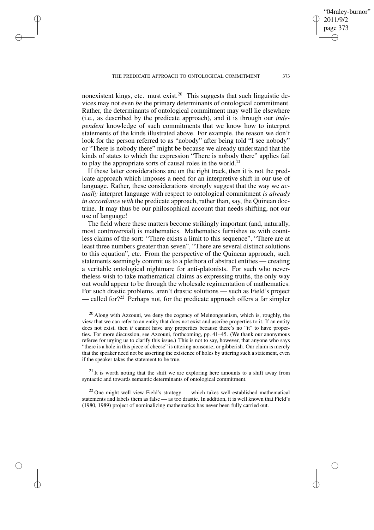✐

✐

✐

✐

nonexistent kings, etc. must exist.<sup>20</sup> This suggests that such linguistic devices may not even *be* the primary determinants of ontological commitment. Rather, the determinants of ontological commitment may well lie elsewhere (i.e., as described by the predicate approach), and it is through our *independent* knowledge of such commitments that we know how to interpret statements of the kinds illustrated above. For example, the reason we don't look for the person referred to as "nobody" after being told "I see nobody" or "There is nobody there" might be because we already understand that the kinds of states to which the expression "There is nobody there" applies fail to play the appropriate sorts of causal roles in the world.<sup>21</sup>

If these latter considerations are on the right track, then it is not the predicate approach which imposes a need for an interpretive shift in our use of language. Rather, these considerations strongly suggest that the way we *actually* interpret language with respect to ontological commitment *is already in accordance with* the predicate approach, rather than, say, the Quinean doctrine. It may thus be our philosophical account that needs shifting, not our use of language!

The field where these matters become strikingly important (and, naturally, most controversial) is mathematics. Mathematics furnishes us with countless claims of the sort: "There exists a limit to this sequence", "There are at least three numbers greater than seven", "There are several distinct solutions to this equation", etc. From the perspective of the Quinean approach, such statements seemingly commit us to a plethora of abstract entities — creating a veritable ontological nightmare for anti-platonists. For such who nevertheless wish to take mathematical claims as expressing truths, the only way out would appear to be through the wholesale regimentation of mathematics. For such drastic problems, aren't drastic solutions — such as Field's project — called for?<sup>22</sup> Perhaps not, for the predicate approach offers a far simpler

 $21$  It is worth noting that the shift we are exploring here amounts to a shift away from syntactic and towards semantic determinants of ontological commitment.

 $22$  One might well view Field's strategy — which takes well-established mathematical statements and labels them as false — as too drastic. In addition, it is well known that Field's (1980, 1989) project of nominalizing mathematics has never been fully carried out.

"04raley-burnor"

2011/9/2 page 373

✐

✐

✐

 $20$  Along with Azzouni, we deny the cogency of Meinongeanism, which is, roughly, the view that we can refer to an entity that does not exist and ascribe properties to it. If an entity does not exist, then *it* cannot have any properties because there's no "it" to have properties. For more discussion, see Azzouni, forthcoming, pp. 41–45. (We thank our anonymous referee for urging us to clarify this issue.) This is not to say, however, that anyone who says "there is a hole in this piece of cheese" is uttering nonsense, or gibberish. Our claim is merely that the speaker need not be asserting the existence of holes by uttering such a statement, even if the speaker takes the statement to be true.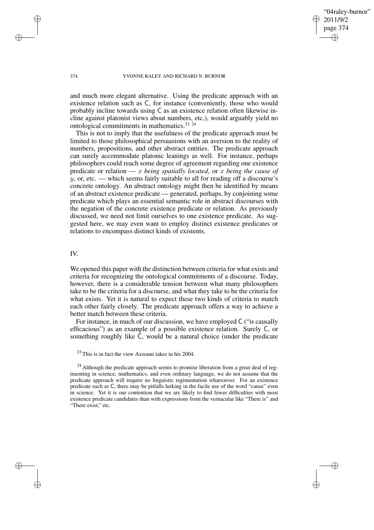"04raley-burnor" 2011/9/2 page 374 ✐ ✐

✐

✐

### 374 YVONNE RALEY AND RICHARD N. BURNOR

and much more elegant alternative. Using the predicate approach with an existence relation such as C, for instance (conveniently, those who would probably incline towards using C as an existence relation often likewise incline against platonist views about numbers, etc.), would arguably yield no ontological commitments in mathematics.<sup>23</sup> <sup>24</sup>

This is not to imply that the usefulness of the predicate approach must be limited to those philosophical persuasions with an aversion to the reality of numbers, propositions, and other abstract entities. The predicate approach can surely accommodate platonic leanings as well. For instance, perhaps philosophers could reach some degree of agreement regarding one existence predicate or relation — x *being spatially located*, or x *being the cause of*  $y$ , or, etc. — which seems fairly suitable to all for reading off a discourse's concrete ontology. An abstract ontology might then be identified by means of an abstract existence predicate — generated, perhaps, by conjoining some predicate which plays an essential semantic role in abstract discourses with the negation of the concrete existence predicate or relation. As previously discussed, we need not limit ourselves to one existence predicate. As suggested here, we may even want to employ distinct existence predicates or relations to encompass distinct kinds of existents.

## IV.

We opened this paper with the distinction between criteria for what exists and criteria for recognizing the ontological commitments of a discourse. Today, however, there is a considerable tension between what many philosophers take to be the criteria for a discourse, and what they take to be the criteria for what exists. Yet it is natural to expect these two kinds of criteria to match each other fairly closely. The predicate approach offers a way to achieve a better match between these criteria.

For instance, in much of our discussion, we have employed C ("is causally efficacious") as an example of a possible existence relation. Surely C, or something roughly like C, would be a natural choice (under the predicate

<sup>23</sup> This is in fact the view Azzouni takes in his 2004.

 $24$  Although the predicate approach seems to promise liberation from a great deal of regimenting in science, mathematics, and even ordinary language, we do not assume that the predicate approach will require no linguistic regimentation whatsoever. For an existence predicate such as C, there may be pitfalls lurking in the facile use of the word "cause" even in science. Yet it is our contention that we are likely to find fewer difficulties with most existence predicate candidates than with expressions from the vernacular like "There is" and "There exist," etc.

✐

✐

✐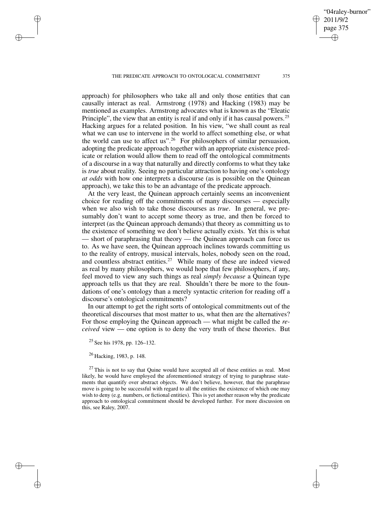approach) for philosophers who take all and only those entities that can causally interact as real. Armstrong (1978) and Hacking (1983) may be mentioned as examples. Armstrong advocates what is known as the "Eleatic Principle", the view that an entity is real if and only if it has causal powers.<sup>25</sup> Hacking argues for a related position. In his view, "we shall count as real what we can use to intervene in the world to affect something else, or what the world can use to affect us".<sup>26</sup> For philosophers of similar persuasion, adopting the predicate approach together with an appropriate existence predicate or relation would allow them to read off the ontological commitments of a discourse in a way that naturally and directly conforms to what they take is *true* about reality. Seeing no particular attraction to having one's ontology *at odds* with how one interprets a discourse (as is possible on the Quinean approach), we take this to be an advantage of the predicate approach.

At the very least, the Quinean approach certainly seems an inconvenient choice for reading off the commitments of many discourses — especially when we also wish to take those discourses as *true*. In general, we presumably don't want to accept some theory as true, and then be forced to interpret (as the Quinean approach demands) that theory as committing us to the existence of something we don't believe actually exists. Yet this is what - short of paraphrasing that theory — the Quinean approach can force us to. As we have seen, the Quinean approach inclines towards committing us to the reality of entropy, musical intervals, holes, nobody seen on the road, and countless abstract entities.<sup>27</sup> While many of these are indeed viewed as real by many philosophers, we would hope that few philosophers, if any, feel moved to view any such things as real *simply because* a Quinean type approach tells us that they are real. Shouldn't there be more to the foundations of one's ontology than a merely syntactic criterion for reading off a discourse's ontological commitments?

In our attempt to get the right sorts of ontological commitments out of the theoretical discourses that most matter to us, what then are the alternatives? For those employing the Quinean approach — what might be called the *received* view — one option is to deny the very truth of these theories. But

<sup>25</sup> See his 1978, pp. 126–132.

<sup>26</sup> Hacking, 1983, p. 148.

✐

✐

✐

✐

 $27$  This is not to say that Quine would have accepted all of these entities as real. Most likely, he would have employed the aforementioned strategy of trying to paraphrase statements that quantify over abstract objects. We don't believe, however, that the paraphrase move is going to be successful with regard to all the entities the existence of which one may wish to deny (e.g. numbers, or fictional entities). This is yet another reason why the predicate approach to ontological commitment should be developed further. For more discussion on this, see Raley, 2007.

"04raley-burnor"

2011/9/2 page 375

✐

✐

✐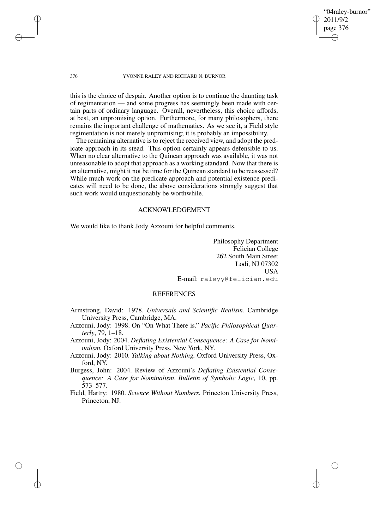## "04raley-burnor" 2011/9/2 page 376 ✐ ✐

✐

✐

### 376 YVONNE RALEY AND RICHARD N. BURNOR

✐

✐

✐

✐

this is the choice of despair. Another option is to continue the daunting task of regimentation — and some progress has seemingly been made with certain parts of ordinary language. Overall, nevertheless, this choice affords, at best, an unpromising option. Furthermore, for many philosophers, there remains the important challenge of mathematics. As we see it, a Field style regimentation is not merely unpromising; it is probably an impossibility.

The remaining alternative is to reject the received view, and adopt the predicate approach in its stead. This option certainly appears defensible to us. When no clear alternative to the Quinean approach was available, it was not unreasonable to adopt that approach as a working standard. Now that there is an alternative, might it not be time for the Quinean standard to be reassessed? While much work on the predicate approach and potential existence predicates will need to be done, the above considerations strongly suggest that such work would unquestionably be worthwhile.

## ACKNOWLEDGEMENT

We would like to thank Jody Azzouni for helpful comments.

Philosophy Department Felician College 262 South Main Street Lodi, NJ 07302 USA E-mail: raleyy@felician.edu

## REFERENCES

- Armstrong, David: 1978. *Universals and Scientific Realism.* Cambridge University Press, Cambridge, MA.
- Azzouni, Jody: 1998. On "On What There is." *Pacific Philosophical Quarterly*, 79, 1–18.
- Azzouni, Jody: 2004. *Deflating Existential Consequence: A Case for Nominalism.* Oxford University Press, New York, NY.
- Azzouni, Jody: 2010. *Talking about Nothing.* Oxford University Press, Oxford, NY.
- Burgess, John: 2004. Review of Azzouni's *Deflating Existential Consequence: A Case for Nominalism*. *Bulletin of Symbolic Logic*, 10, pp. 573–577.
- Field, Hartry: 1980. *Science Without Numbers.* Princeton University Press, Princeton, NJ.